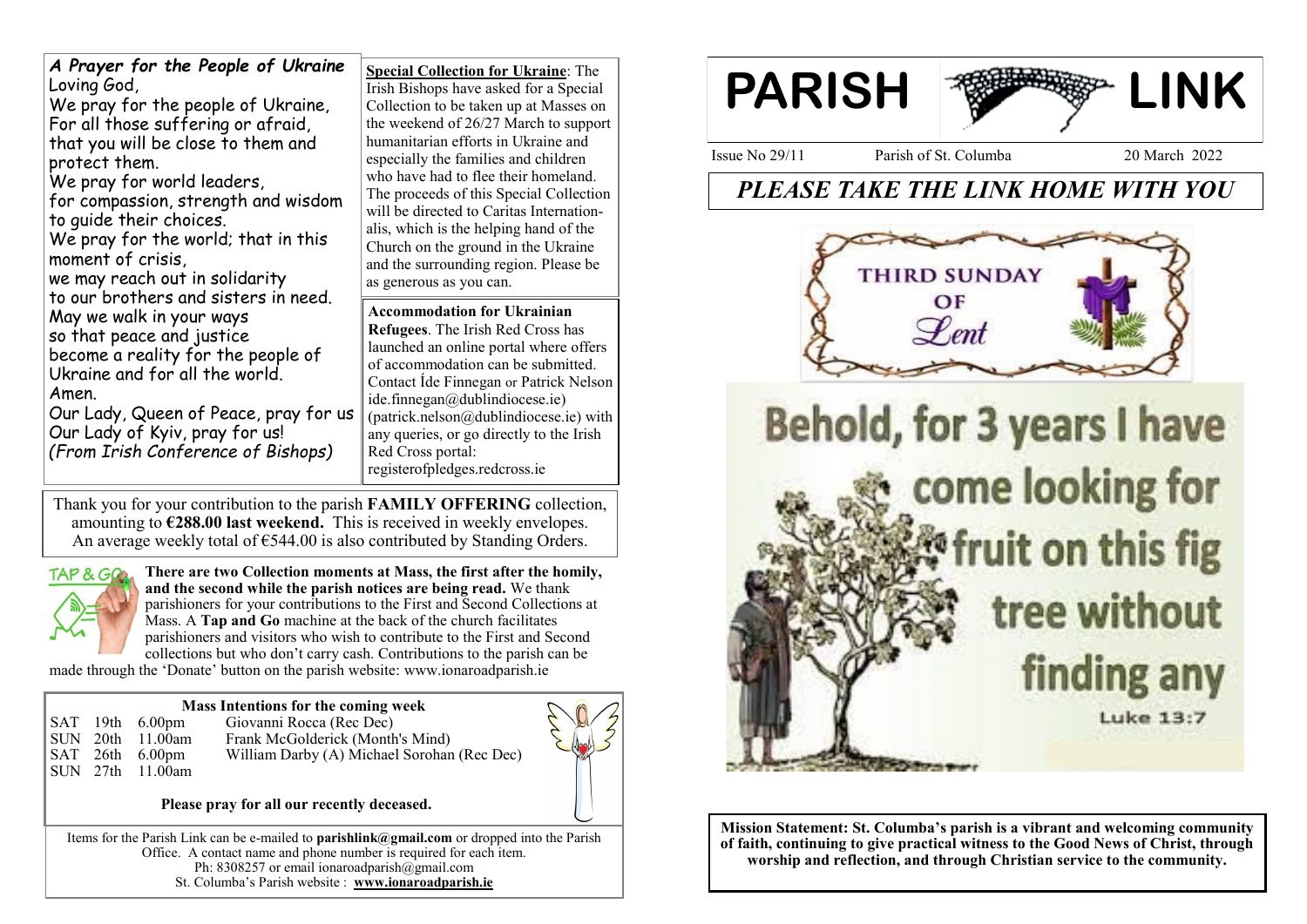| A Prayer for the People of Ukraine<br>Loving God,<br>We pray for the people of Ukraine,<br>For all those suffering or afraid,<br>that you will be close to them and<br>protect them.<br>We pray for world leaders,<br>for compassion, strength and wisdom<br>to quide their choices.<br>We pray for the world; that in this<br>moment of crisis,<br>we may reach out in solidarity<br>to our brothers and sisters in need.<br>May we walk in your ways<br>so that peace and justice<br>become a reality for the people of<br>Ukraine and for all the world.<br>Amen.<br>Our Lady, Queen of Peace, pray for us<br>Our Lady of Kyiv, pray for us!<br>(From Irish Conference of Bishops) | <b>Special Collection for Ukraine: The</b><br>Irish Bishops have asked for a Special<br>Collection to be taken up at Masses on<br>the weekend of 26/27 March to support<br>humanitarian efforts in Ukraine and<br>especially the families and children<br>who have had to flee their homeland.<br>The proceeds of this Special Collection<br>will be directed to Caritas Internation-<br>alis, which is the helping hand of the<br>Church on the ground in the Ukraine<br>and the surrounding region. Please be<br>as generous as you can.<br><b>Accommodation for Ukrainian</b><br><b>Refugees.</b> The Irish Red Cross has<br>launched an online portal where offers<br>of accommodation can be submitted.<br>Contact Ide Finnegan or Patrick Nelson<br>ide.finnegan@dublindiocese.ie)<br>(patrick.nelson@dublindiocese.ie) with<br>any queries, or go directly to the Irish<br>Red Cross portal:<br>registerofpledges.redcross.ie |
|---------------------------------------------------------------------------------------------------------------------------------------------------------------------------------------------------------------------------------------------------------------------------------------------------------------------------------------------------------------------------------------------------------------------------------------------------------------------------------------------------------------------------------------------------------------------------------------------------------------------------------------------------------------------------------------|--------------------------------------------------------------------------------------------------------------------------------------------------------------------------------------------------------------------------------------------------------------------------------------------------------------------------------------------------------------------------------------------------------------------------------------------------------------------------------------------------------------------------------------------------------------------------------------------------------------------------------------------------------------------------------------------------------------------------------------------------------------------------------------------------------------------------------------------------------------------------------------------------------------------------------------|
|---------------------------------------------------------------------------------------------------------------------------------------------------------------------------------------------------------------------------------------------------------------------------------------------------------------------------------------------------------------------------------------------------------------------------------------------------------------------------------------------------------------------------------------------------------------------------------------------------------------------------------------------------------------------------------------|--------------------------------------------------------------------------------------------------------------------------------------------------------------------------------------------------------------------------------------------------------------------------------------------------------------------------------------------------------------------------------------------------------------------------------------------------------------------------------------------------------------------------------------------------------------------------------------------------------------------------------------------------------------------------------------------------------------------------------------------------------------------------------------------------------------------------------------------------------------------------------------------------------------------------------------|

Thank you for your contribution to the parish **FAMILY OFFERING** collection, amounting to **€288.00 last weekend.** This is received in weekly envelopes. An average weekly total of  $\epsilon$ 544.00 is also contributed by Standing Orders.



**There are two Collection moments at Mass, the first after the homily, and the second while the parish notices are being read.** We thank parishioners for your contributions to the First and Second Collections at Mass. A **Tap and Go** machine at the back of the church facilitates parishioners and visitors who wish to contribute to the First and Second collections but who don't carry cash. Contributions to the parish can be

made through the 'Donate' button on the parish website: www.ionaroadparish.ie

# **Mass Intentions for the coming week**<br>SAT 19th 6.00pm Giovanni Rocca (Rec Dec)

SAT 19th 6.00pm Giovanni Rocca (Rec Dec)<br>SUN 20th 11.00am Frank McGolderick (Montl 20th 11.00am Frank McGolderick (Month's Mind)<br>26th 6.00pm William Darby (A) Michael Sorohar SAT 26th 6.00pm William Darby (A) Michael Sorohan (Rec Dec) SUN 27th 11.00am



### **Please pray for all our recently deceased.**

Items for the Parish Link can be e-mailed to **parishlink@gmail.com** or dropped into the Parish Office. A contact name and phone number is required for each item. Ph: 8308257 or email ionaroadparish@gmail.com St. Columba's Parish website : **www.ionaroadparish.ie** 



*PLEASE TAKE THE LINK HOME WITH YOU*



**Mission Statement: St. Columba's parish is a vibrant and welcoming community of faith, continuing to give practical witness to the Good News of Christ, through worship and reflection, and through Christian service to the community.**